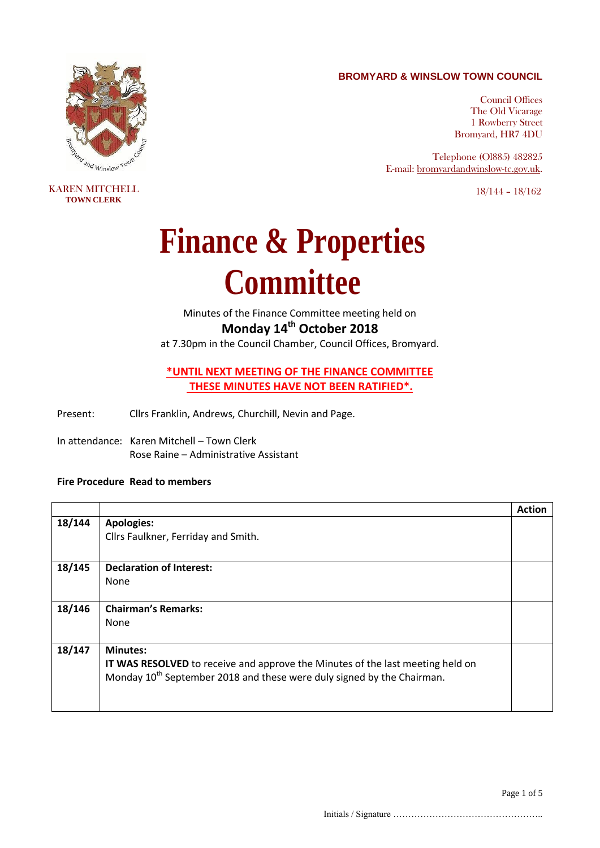## **BROMYARD & WINSLOW TOWN COUNCIL**

*Td* and Winslow Td

KAREN MITCHELL **TOWN CLERK**

Council Offices The Old Vicarage 1 Rowberry Street Bromyard, HR7 4DU

Telephone (Ol885) 482825 E-mail: [bromyardandwinslow-tc.gov.uk.](mailto:bromyard.towncouncil@virgin.net)

18/144 – 18/162

## **Finance & Properties Committee**

Minutes of the Finance Committee meeting held on **Monday 14th October 2018**

at 7.30pm in the Council Chamber, Council Offices, Bromyard.

**\*UNTIL NEXT MEETING OF THE FINANCE COMMITTEE THESE MINUTES HAVE NOT BEEN RATIFIED\*.**

Present: Cllrs Franklin, Andrews, Churchill, Nevin and Page.

In attendance: Karen Mitchell – Town Clerk Rose Raine – Administrative Assistant

## **Fire Procedure Read to members**

|        |                                                                                    | <b>Action</b> |
|--------|------------------------------------------------------------------------------------|---------------|
| 18/144 | <b>Apologies:</b>                                                                  |               |
|        | Cllrs Faulkner, Ferriday and Smith.                                                |               |
|        |                                                                                    |               |
| 18/145 | <b>Declaration of Interest:</b>                                                    |               |
|        | None                                                                               |               |
|        |                                                                                    |               |
| 18/146 | <b>Chairman's Remarks:</b>                                                         |               |
|        | None                                                                               |               |
|        |                                                                                    |               |
| 18/147 | <b>Minutes:</b>                                                                    |               |
|        | IT WAS RESOLVED to receive and approve the Minutes of the last meeting held on     |               |
|        | Monday 10 <sup>th</sup> September 2018 and these were duly signed by the Chairman. |               |
|        |                                                                                    |               |
|        |                                                                                    |               |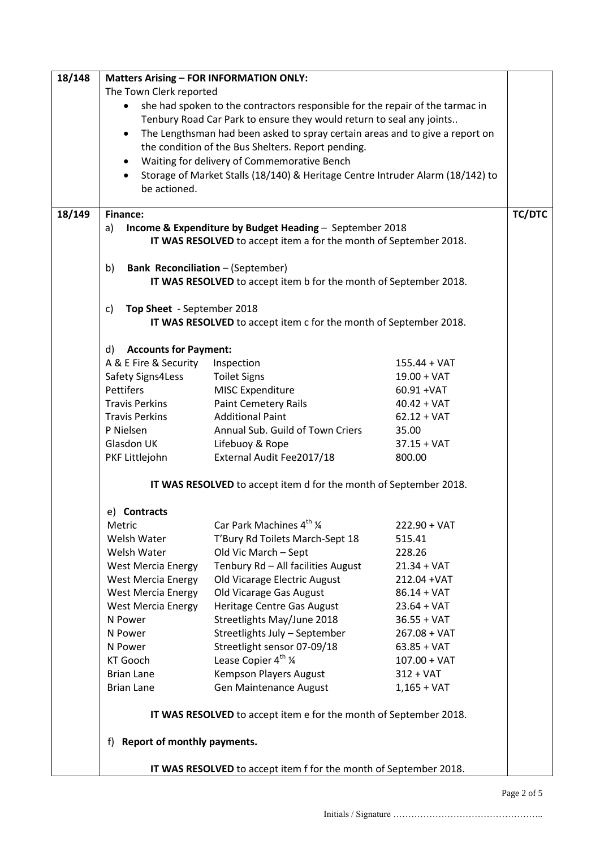| 18/148 | <b>Matters Arising - FOR INFORMATION ONLY:</b>                                             |                                                                                |                        |               |  |  |
|--------|--------------------------------------------------------------------------------------------|--------------------------------------------------------------------------------|------------------------|---------------|--|--|
|        | The Town Clerk reported                                                                    |                                                                                |                        |               |  |  |
|        | she had spoken to the contractors responsible for the repair of the tarmac in<br>$\bullet$ |                                                                                |                        |               |  |  |
|        |                                                                                            | Tenbury Road Car Park to ensure they would return to seal any joints           |                        |               |  |  |
|        | $\bullet$                                                                                  | The Lengthsman had been asked to spray certain areas and to give a report on   |                        |               |  |  |
|        |                                                                                            | the condition of the Bus Shelters. Report pending.                             |                        |               |  |  |
|        |                                                                                            | Waiting for delivery of Commemorative Bench                                    |                        |               |  |  |
|        | $\bullet$                                                                                  | Storage of Market Stalls (18/140) & Heritage Centre Intruder Alarm (18/142) to |                        |               |  |  |
|        | be actioned.                                                                               |                                                                                |                        |               |  |  |
|        |                                                                                            |                                                                                |                        |               |  |  |
| 18/149 | <b>Finance:</b>                                                                            |                                                                                |                        | <b>TC/DTC</b> |  |  |
|        | a)                                                                                         | Income & Expenditure by Budget Heading - September 2018                        |                        |               |  |  |
|        |                                                                                            | IT WAS RESOLVED to accept item a for the month of September 2018.              |                        |               |  |  |
|        |                                                                                            |                                                                                |                        |               |  |  |
|        | <b>Bank Reconciliation - (September)</b><br>b)                                             |                                                                                |                        |               |  |  |
|        |                                                                                            | IT WAS RESOLVED to accept item b for the month of September 2018.              |                        |               |  |  |
|        |                                                                                            |                                                                                |                        |               |  |  |
|        | Top Sheet - September 2018<br>C)                                                           |                                                                                |                        |               |  |  |
|        |                                                                                            | IT WAS RESOLVED to accept item c for the month of September 2018.              |                        |               |  |  |
|        | <b>Accounts for Payment:</b><br>d)                                                         |                                                                                |                        |               |  |  |
|        | A & E Fire & Security                                                                      | Inspection                                                                     | $155.44 + VAT$         |               |  |  |
|        | Safety Signs4Less                                                                          | <b>Toilet Signs</b>                                                            | $19.00 + VAT$          |               |  |  |
|        | <b>Pettifers</b>                                                                           | MISC Expenditure                                                               | 60.91 + VAT            |               |  |  |
|        | <b>Travis Perkins</b>                                                                      | <b>Paint Cemetery Rails</b>                                                    | $40.42 + VAT$          |               |  |  |
|        | <b>Travis Perkins</b>                                                                      | <b>Additional Paint</b>                                                        | $62.12 + VAT$          |               |  |  |
|        | P Nielsen                                                                                  | Annual Sub. Guild of Town Criers                                               | 35.00                  |               |  |  |
|        | Glasdon UK                                                                                 | Lifebuoy & Rope                                                                | $37.15 + VAT$          |               |  |  |
|        | PKF Littlejohn                                                                             | External Audit Fee2017/18                                                      | 800.00                 |               |  |  |
|        |                                                                                            |                                                                                |                        |               |  |  |
|        |                                                                                            | IT WAS RESOLVED to accept item d for the month of September 2018.              |                        |               |  |  |
|        |                                                                                            |                                                                                |                        |               |  |  |
|        | <b>Contracts</b><br>e)                                                                     | Car Park Machines 4 <sup>th</sup> 1/4                                          |                        |               |  |  |
|        | Metric<br>Welsh Water                                                                      |                                                                                | 222.90 + VAT<br>515.41 |               |  |  |
|        | Welsh Water                                                                                | T'Bury Rd Toilets March-Sept 18<br>Old Vic March - Sept                        | 228.26                 |               |  |  |
|        | <b>West Mercia Energy</b>                                                                  | Tenbury Rd - All facilities August                                             | $21.34 + VAT$          |               |  |  |
|        | <b>West Mercia Energy</b>                                                                  | Old Vicarage Electric August                                                   | 212.04 + VAT           |               |  |  |
|        | <b>West Mercia Energy</b>                                                                  | Old Vicarage Gas August                                                        | $86.14 + VAT$          |               |  |  |
|        | <b>West Mercia Energy</b>                                                                  | Heritage Centre Gas August                                                     | $23.64 + VAT$          |               |  |  |
|        | N Power                                                                                    | Streetlights May/June 2018                                                     | $36.55 + VAT$          |               |  |  |
|        | N Power                                                                                    | Streetlights July - September                                                  | $267.08 + VAT$         |               |  |  |
|        | N Power                                                                                    | Streetlight sensor 07-09/18                                                    | $63.85 + VAT$          |               |  |  |
|        | <b>KT Gooch</b>                                                                            | Lease Copier 4 <sup>th</sup> 1/4                                               | $107.00 + VAT$         |               |  |  |
|        | <b>Brian Lane</b>                                                                          | Kempson Players August                                                         | $312 + VAT$            |               |  |  |
|        | <b>Brian Lane</b>                                                                          | Gen Maintenance August                                                         | $1,165 + \text{VAT}$   |               |  |  |
|        | IT WAS RESOLVED to accept item e for the month of September 2018.                          |                                                                                |                        |               |  |  |
|        |                                                                                            |                                                                                |                        |               |  |  |
|        | Report of monthly payments.<br>f)                                                          |                                                                                |                        |               |  |  |
|        |                                                                                            | IT WAS RESOLVED to accept item f for the month of September 2018.              |                        |               |  |  |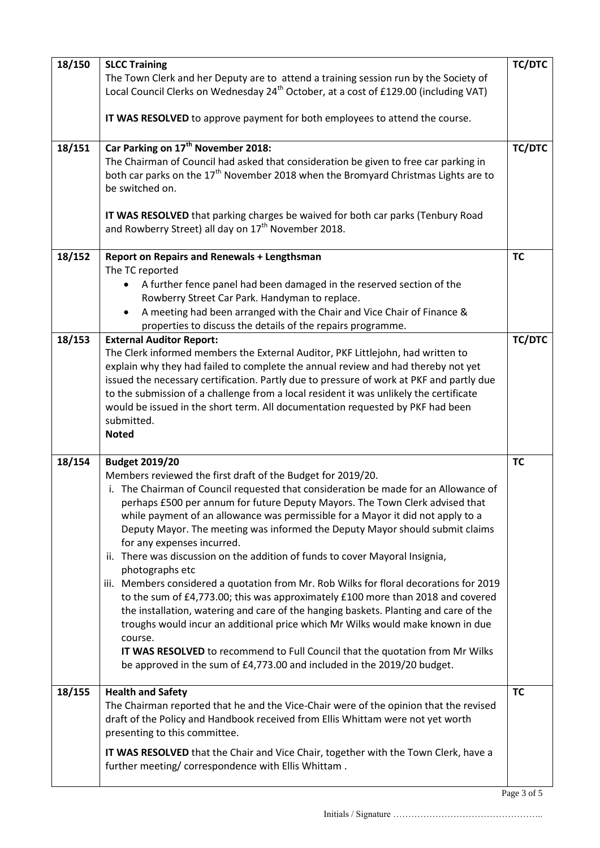| 18/150 | <b>SLCC Training</b>                                                                             | <b>TC/DTC</b> |
|--------|--------------------------------------------------------------------------------------------------|---------------|
|        | The Town Clerk and her Deputy are to attend a training session run by the Society of             |               |
|        | Local Council Clerks on Wednesday 24 <sup>th</sup> October, at a cost of £129.00 (including VAT) |               |
|        |                                                                                                  |               |
|        | IT WAS RESOLVED to approve payment for both employees to attend the course.                      |               |
|        |                                                                                                  |               |
| 18/151 | Car Parking on 17 <sup>th</sup> November 2018:                                                   | <b>TC/DTC</b> |
|        | The Chairman of Council had asked that consideration be given to free car parking in             |               |
|        | both car parks on the $17th$ November 2018 when the Bromyard Christmas Lights are to             |               |
|        | be switched on.                                                                                  |               |
|        | IT WAS RESOLVED that parking charges be waived for both car parks (Tenbury Road                  |               |
|        | and Rowberry Street) all day on 17 <sup>th</sup> November 2018.                                  |               |
|        |                                                                                                  |               |
| 18/152 | <b>Report on Repairs and Renewals + Lengthsman</b>                                               | <b>TC</b>     |
|        | The TC reported                                                                                  |               |
|        | A further fence panel had been damaged in the reserved section of the<br>$\bullet$               |               |
|        | Rowberry Street Car Park. Handyman to replace.                                                   |               |
|        | A meeting had been arranged with the Chair and Vice Chair of Finance &<br>$\bullet$              |               |
|        | properties to discuss the details of the repairs programme.                                      |               |
| 18/153 | <b>External Auditor Report:</b>                                                                  | <b>TC/DTC</b> |
|        | The Clerk informed members the External Auditor, PKF Littlejohn, had written to                  |               |
|        | explain why they had failed to complete the annual review and had thereby not yet                |               |
|        | issued the necessary certification. Partly due to pressure of work at PKF and partly due         |               |
|        | to the submission of a challenge from a local resident it was unlikely the certificate           |               |
|        | would be issued in the short term. All documentation requested by PKF had been                   |               |
|        | submitted.                                                                                       |               |
|        | <b>Noted</b>                                                                                     |               |
| 18/154 | <b>Budget 2019/20</b>                                                                            | <b>TC</b>     |
|        | Members reviewed the first draft of the Budget for 2019/20.                                      |               |
|        | i. The Chairman of Council requested that consideration be made for an Allowance of              |               |
|        | perhaps £500 per annum for future Deputy Mayors. The Town Clerk advised that                     |               |
|        | while payment of an allowance was permissible for a Mayor it did not apply to a                  |               |
|        | Deputy Mayor. The meeting was informed the Deputy Mayor should submit claims                     |               |
|        | for any expenses incurred.                                                                       |               |
|        | ii. There was discussion on the addition of funds to cover Mayoral Insignia,                     |               |
|        | photographs etc                                                                                  |               |
|        | iii. Members considered a quotation from Mr. Rob Wilks for floral decorations for 2019           |               |
|        | to the sum of £4,773.00; this was approximately £100 more than 2018 and covered                  |               |
|        | the installation, watering and care of the hanging baskets. Planting and care of the             |               |
|        | troughs would incur an additional price which Mr Wilks would make known in due                   |               |
|        | course.                                                                                          |               |
|        | IT WAS RESOLVED to recommend to Full Council that the quotation from Mr Wilks                    |               |
|        | be approved in the sum of £4,773.00 and included in the 2019/20 budget.                          |               |
| 18/155 | <b>Health and Safety</b>                                                                         | <b>TC</b>     |
|        | The Chairman reported that he and the Vice-Chair were of the opinion that the revised            |               |
|        | draft of the Policy and Handbook received from Ellis Whittam were not yet worth                  |               |
|        | presenting to this committee.                                                                    |               |
|        | IT WAS RESOLVED that the Chair and Vice Chair, together with the Town Clerk, have a              |               |
|        | further meeting/correspondence with Ellis Whittam.                                               |               |
|        |                                                                                                  |               |

Initials / Signature …………………………………………..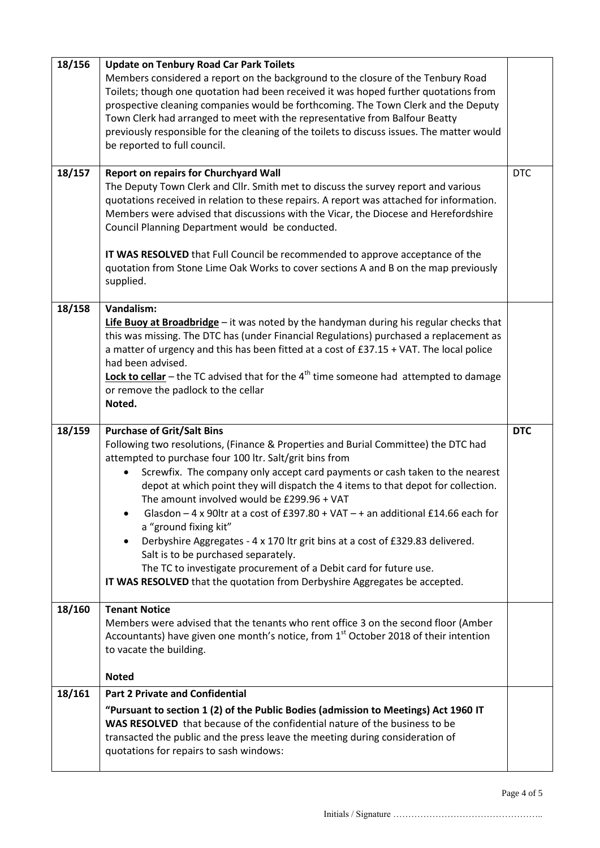| 18/156 | <b>Update on Tenbury Road Car Park Toilets</b>                                                                                                                                                                                                                                                                           |            |
|--------|--------------------------------------------------------------------------------------------------------------------------------------------------------------------------------------------------------------------------------------------------------------------------------------------------------------------------|------------|
|        | Members considered a report on the background to the closure of the Tenbury Road<br>Toilets; though one quotation had been received it was hoped further quotations from                                                                                                                                                 |            |
|        | prospective cleaning companies would be forthcoming. The Town Clerk and the Deputy<br>Town Clerk had arranged to meet with the representative from Balfour Beatty                                                                                                                                                        |            |
|        | previously responsible for the cleaning of the toilets to discuss issues. The matter would                                                                                                                                                                                                                               |            |
|        | be reported to full council.                                                                                                                                                                                                                                                                                             |            |
| 18/157 | <b>Report on repairs for Churchyard Wall</b>                                                                                                                                                                                                                                                                             | <b>DTC</b> |
|        | The Deputy Town Clerk and Cllr. Smith met to discuss the survey report and various<br>quotations received in relation to these repairs. A report was attached for information.<br>Members were advised that discussions with the Vicar, the Diocese and Herefordshire<br>Council Planning Department would be conducted. |            |
|        | IT WAS RESOLVED that Full Council be recommended to approve acceptance of the<br>quotation from Stone Lime Oak Works to cover sections A and B on the map previously<br>supplied.                                                                                                                                        |            |
| 18/158 | Vandalism:                                                                                                                                                                                                                                                                                                               |            |
|        | Life Buoy at Broadbridge - it was noted by the handyman during his regular checks that<br>this was missing. The DTC has (under Financial Regulations) purchased a replacement as                                                                                                                                         |            |
|        | a matter of urgency and this has been fitted at a cost of £37.15 + VAT. The local police                                                                                                                                                                                                                                 |            |
|        | had been advised.                                                                                                                                                                                                                                                                                                        |            |
|        | <b>Lock to cellar</b> – the TC advised that for the $4th$ time someone had attempted to damage<br>or remove the padlock to the cellar                                                                                                                                                                                    |            |
|        | Noted.                                                                                                                                                                                                                                                                                                                   |            |
|        |                                                                                                                                                                                                                                                                                                                          |            |
|        |                                                                                                                                                                                                                                                                                                                          |            |
| 18/159 | <b>Purchase of Grit/Salt Bins</b>                                                                                                                                                                                                                                                                                        | <b>DTC</b> |
|        | Following two resolutions, (Finance & Properties and Burial Committee) the DTC had<br>attempted to purchase four 100 ltr. Salt/grit bins from                                                                                                                                                                            |            |
|        | Screwfix. The company only accept card payments or cash taken to the nearest<br>depot at which point they will dispatch the 4 items to that depot for collection.                                                                                                                                                        |            |
|        | The amount involved would be £299.96 + VAT<br>Glasdon - 4 x 90ltr at a cost of £397.80 + VAT - + an additional £14.66 each for<br>$\bullet$                                                                                                                                                                              |            |
|        | a "ground fixing kit"<br>Derbyshire Aggregates - 4 x 170 ltr grit bins at a cost of £329.83 delivered.<br>$\bullet$<br>Salt is to be purchased separately.                                                                                                                                                               |            |
|        | The TC to investigate procurement of a Debit card for future use.                                                                                                                                                                                                                                                        |            |
|        | IT WAS RESOLVED that the quotation from Derbyshire Aggregates be accepted.                                                                                                                                                                                                                                               |            |
| 18/160 | <b>Tenant Notice</b>                                                                                                                                                                                                                                                                                                     |            |
|        | Members were advised that the tenants who rent office 3 on the second floor (Amber                                                                                                                                                                                                                                       |            |
|        | Accountants) have given one month's notice, from 1 <sup>st</sup> October 2018 of their intention<br>to vacate the building.                                                                                                                                                                                              |            |
|        | <b>Noted</b>                                                                                                                                                                                                                                                                                                             |            |
| 18/161 | <b>Part 2 Private and Confidential</b>                                                                                                                                                                                                                                                                                   |            |
|        | "Pursuant to section 1 (2) of the Public Bodies (admission to Meetings) Act 1960 IT                                                                                                                                                                                                                                      |            |
|        | WAS RESOLVED that because of the confidential nature of the business to be                                                                                                                                                                                                                                               |            |
|        | transacted the public and the press leave the meeting during consideration of<br>quotations for repairs to sash windows:                                                                                                                                                                                                 |            |